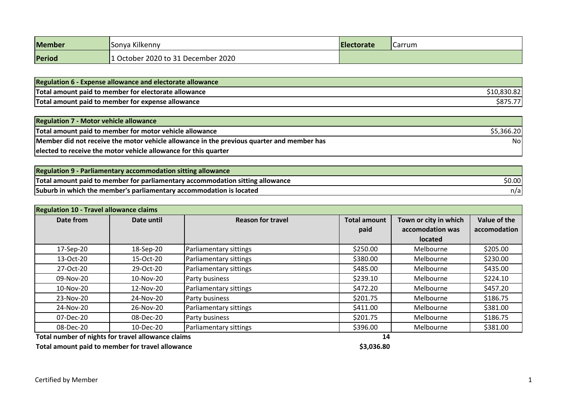| Member | Sonya Kilkenny                   | <b>IElectorate</b> | <b>Carrum</b> |
|--------|----------------------------------|--------------------|---------------|
| Period | October 2020 to 31 December 2020 |                    |               |

| <b>Regulation 6 - Expense allowance and electorate allowance</b> |             |
|------------------------------------------------------------------|-------------|
| Total amount paid to member for electorate allowance             | \$10,830.82 |
| Total amount paid to member for expense allowance                | \$875.77    |

| <b>Regulation 7 - Motor vehicle allowance</b>                                             |            |
|-------------------------------------------------------------------------------------------|------------|
| Total amount paid to member for motor vehicle allowance                                   | \$5,366.20 |
| Member did not receive the motor vehicle allowance in the previous quarter and member has | Nol        |
| elected to receive the motor vehicle allowance for this quarter                           |            |

| <b>Regulation 9 - Parliamentary accommodation sitting allowance</b>           |         |
|-------------------------------------------------------------------------------|---------|
| Total amount paid to member for parliamentary accommodation sitting allowance | \$0.00I |
| Suburb in which the member's parliamentary accommodation is located           | n/a     |

| <b>Regulation 10 - Travel allowance claims</b>     |                                        |                        |                     |                       |              |
|----------------------------------------------------|----------------------------------------|------------------------|---------------------|-----------------------|--------------|
| Date from                                          | <b>Reason for travel</b><br>Date until |                        | <b>Total amount</b> | Town or city in which | Value of the |
|                                                    |                                        |                        | paid                | accomodation was      | accomodation |
|                                                    |                                        |                        |                     | <b>located</b>        |              |
| 17-Sep-20                                          | 18-Sep-20                              | Parliamentary sittings | \$250.00            | Melbourne             | \$205.00     |
| 13-Oct-20                                          | 15-Oct-20                              | Parliamentary sittings | \$380.00            | Melbourne             | \$230.00     |
| 27-Oct-20                                          | 29-Oct-20                              | Parliamentary sittings | \$485.00            | Melbourne             | \$435.00     |
| 09-Nov-20                                          | 10-Nov-20                              | Party business         | \$239.10            | Melbourne             | \$224.10     |
| 10-Nov-20                                          | 12-Nov-20                              | Parliamentary sittings | \$472.20            | Melbourne             | \$457.20     |
| 23-Nov-20                                          | 24-Nov-20                              | Party business         | \$201.75            | Melbourne             | \$186.75     |
| 24-Nov-20                                          | 26-Nov-20                              | Parliamentary sittings | \$411.00            | Melbourne             | \$381.00     |
| 07-Dec-20                                          | 08-Dec-20                              | Party business         | \$201.75            | Melbourne             | \$186.75     |
| 08-Dec-20                                          | 10-Dec-20                              | Parliamentary sittings | \$396.00            | Melbourne             | \$381.00     |
| Total number of nights for travel allowance claims |                                        |                        | 14                  |                       |              |

**Total amount paid to member for travel allowance <b>\$3,036.80 \$3,036.80**